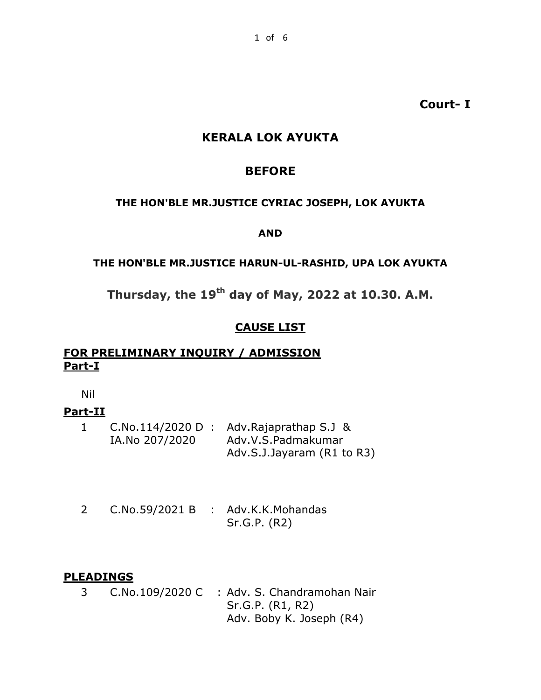**Court- I**

### **KERALA LOK AYUKTA**

### **BEFORE**

#### **THE HON'BLE MR.JUSTICE CYRIAC JOSEPH, LOK AYUKTA**

#### **AND**

#### **THE HON'BLE MR.JUSTICE HARUN-UL-RASHID, UPA LOK AYUKTA**

# **Thursday, the 19th day of May, 2022 at 10.30. A.M.**

### **CAUSE LIST**

### **FOR PRELIMINARY INQUIRY / ADMISSION Part-I**

Nil

### **Part-II**

|                | $C.No.114/2020 D$ : Adv.Rajaprathap S.J & |
|----------------|-------------------------------------------|
| IA.No 207/2020 | Adv.V.S.Padmakumar                        |
|                | Adv.S.J.Jayaram (R1 to R3)                |

2 C.No.59/2021 B : Adv.K.K.Mohandas Sr.G.P. (R2)

### **PLEADINGS**

3 C.No.109/2020 C : Adv. S. Chandramohan Nair Sr.G.P. (R1, R2) Adv. Boby K. Joseph (R4)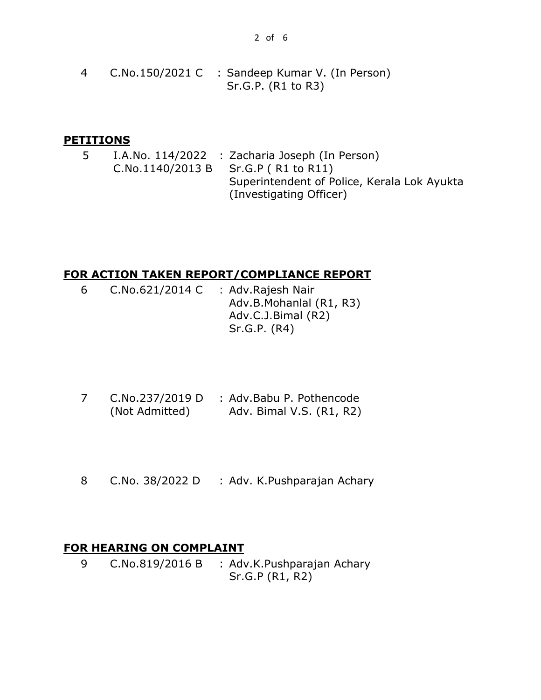4 C.No.150/2021 C : Sandeep Kumar V. (In Person) Sr.G.P. (R1 to R3)

#### **PETITIONS**

5 I.A.No. 114/2022 : Zacharia Joseph (In Person) C.No.1140/2013 B Sr.G.P ( R1 to R11) Superintendent of Police, Kerala Lok Ayukta (Investigating Officer)

#### **FOR ACTION TAKEN REPORT/COMPLIANCE REPORT**

- 6 C.No.621/2014 C : Adv.Rajesh Nair Adv.B.Mohanlal (R1, R3) Adv.C.J.Bimal (R2) Sr.G.P. (R4)
- 7 C.No.237/2019 D : Adv.Babu P. Pothencode (Not Admitted) Adv. Bimal V.S. (R1, R2)
- 8 C.No. 38/2022 D : Adv. K.Pushparajan Achary

### **FOR HEARING ON COMPLAINT**

9 C.No.819/2016 B : Adv.K.Pushparajan Achary Sr.G.P (R1, R2)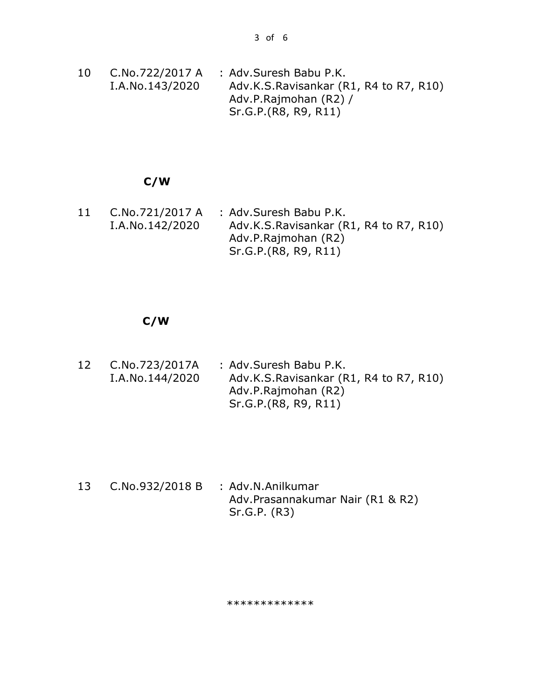10 C.No.722/2017 A I.A.No.143/2020 : Adv.Suresh Babu P.K. Adv.K.S.Ravisankar (R1, R4 to R7, R10) Adv.P.Rajmohan (R2) / Sr.G.P.(R8, R9, R11)

#### **C/W**

11 C.No.721/2017 A I.A.No.142/2020 : Adv.Suresh Babu P.K. Adv.K.S.Ravisankar (R1, R4 to R7, R10) Adv.P.Rajmohan (R2) Sr.G.P.(R8, R9, R11)

#### **C/W**

12 C.No.723/2017A I.A.No.144/2020 : Adv.Suresh Babu P.K. Adv.K.S.Ravisankar (R1, R4 to R7, R10) Adv.P.Rajmohan (R2) Sr.G.P.(R8, R9, R11)

13 C.No.932/2018 B : Adv.N.Anilkumar Adv.Prasannakumar Nair (R1 & R2) Sr.G.P. (R3)

#### \*\*\*\*\*\*\*\*\*\*\*\*\*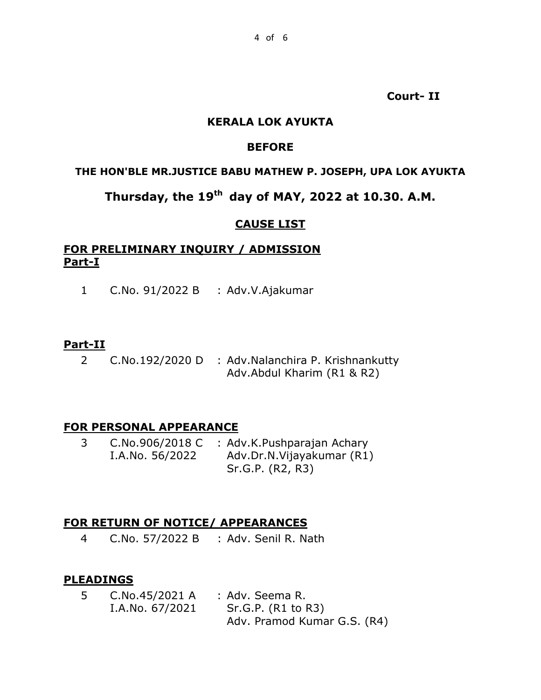**Court- II**

#### **KERALA LOK AYUKTA**

### **BEFORE**

#### **THE HON'BLE MR.JUSTICE BABU MATHEW P. JOSEPH, UPA LOK AYUKTA**

## **Thursday, the 19th day of MAY, 2022 at 10.30. A.M.**

#### **CAUSE LIST**

### **FOR PRELIMINARY INQUIRY / ADMISSION Part-I**

1 C.No. 91/2022 B : Adv.V.Ajakumar

#### **Part-II**

2 C.No.192/2020 D : Adv.Nalanchira P. Krishnankutty Adv.Abdul Kharim (R1 & R2)

#### **FOR PERSONAL APPEARANCE**

3 C.No.906/2018 C : Adv.K.Pushparajan Achary I.A.No. 56/2022 Adv.Dr.N.Vijayakumar (R1) Sr.G.P. (R2, R3)

#### **FOR RETURN OF NOTICE/ APPEARANCES**

4 C.No. 57/2022 B : Adv. Senil R. Nath

### **PLEADINGS**

5 C.No.45/2021 A : Adv. Seema R. I.A.No. 67/2021 Sr.G.P. (R1 to R3) Adv. Pramod Kumar G.S. (R4)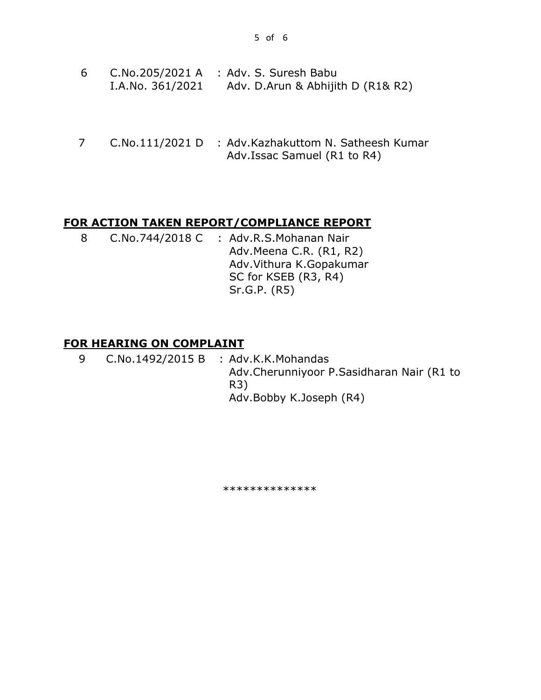- 6 C.No.205/2021 A : Adv. S. Suresh Babu I.A.No. 361/2021 Adv. D.Arun & Abhijith D (R1& R2)
- 7 C.No.111/2021 D : Adv.Kazhakuttom N. Satheesh Kumar Adv.Issac Samuel (R1 to R4)

#### **FOR ACTION TAKEN REPORT/COMPLIANCE REPORT**

8 C.No.744/2018 C : Adv.R.S.Mohanan Nair Adv.Meena C.R. (R1, R2) Adv.Vithura K.Gopakumar SC for KSEB (R3, R4) Sr.G.P. (R5)

#### **FOR HEARING ON COMPLAINT**

9 C.No.1492/2015 B : Adv.K.K.Mohandas Adv.Cherunniyoor P.Sasidharan Nair (R1 to R3) Adv.Bobby K.Joseph (R4)

\*\*\*\*\*\*\*\*\*\*\*\*\*\*